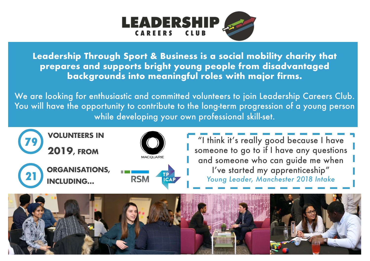

**Leadership Through Sport & Business is a social mobility charity that prepares and supports bright young people from disadvantaged backgrounds into meaningful roles with major firms.** 

We are looking for enthusiastic and committed volunteers to join Leadership Careers Club. You will have the opportunity to contribute to the long-term progression of a young person while developing your own professional skill-set.